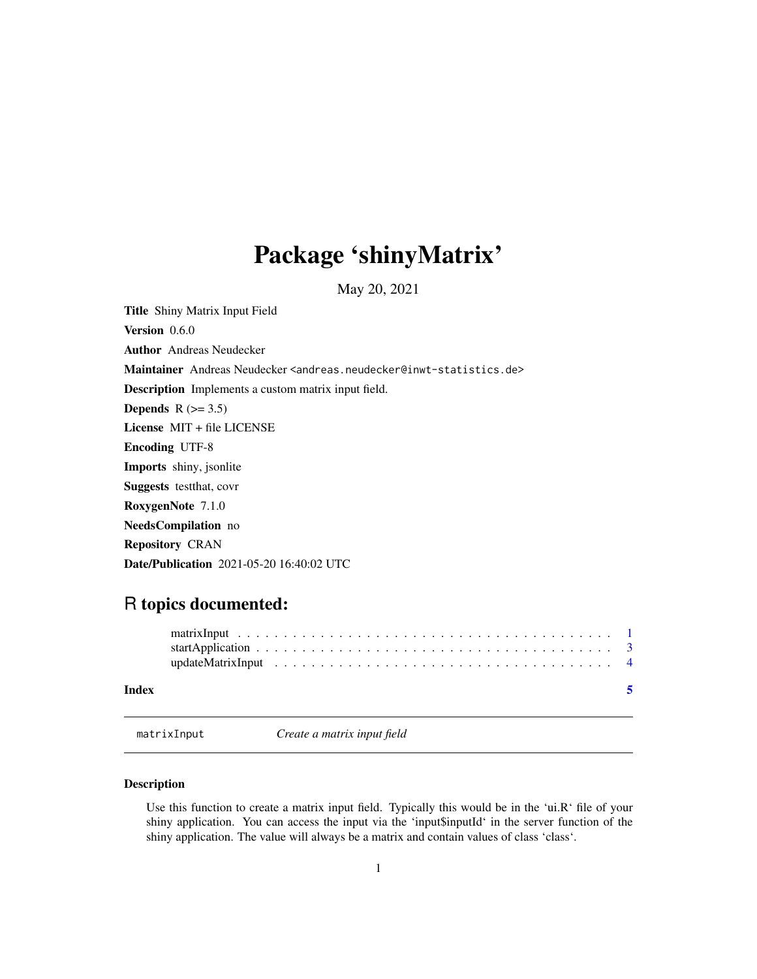## <span id="page-0-0"></span>Package 'shinyMatrix'

May 20, 2021

Title Shiny Matrix Input Field

Version 0.6.0

Author Andreas Neudecker

Maintainer Andreas Neudecker <andreas.neudecker@inwt-statistics.de>

Description Implements a custom matrix input field.

Depends  $R$  ( $>= 3.5$ )

License MIT + file LICENSE

Encoding UTF-8

Imports shiny, jsonlite

Suggests testthat, covr

RoxygenNote 7.1.0

NeedsCompilation no

Repository CRAN

Date/Publication 2021-05-20 16:40:02 UTC

### R topics documented:

| Index |  |  |  |  |  |  |  |  |  |  |  |  |  |  |  |
|-------|--|--|--|--|--|--|--|--|--|--|--|--|--|--|--|
|       |  |  |  |  |  |  |  |  |  |  |  |  |  |  |  |
|       |  |  |  |  |  |  |  |  |  |  |  |  |  |  |  |

matrixInput *Create a matrix input field*

#### Description

Use this function to create a matrix input field. Typically this would be in the 'ui.R' file of your shiny application. You can access the input via the 'input\$inputId' in the server function of the shiny application. The value will always be a matrix and contain values of class 'class'.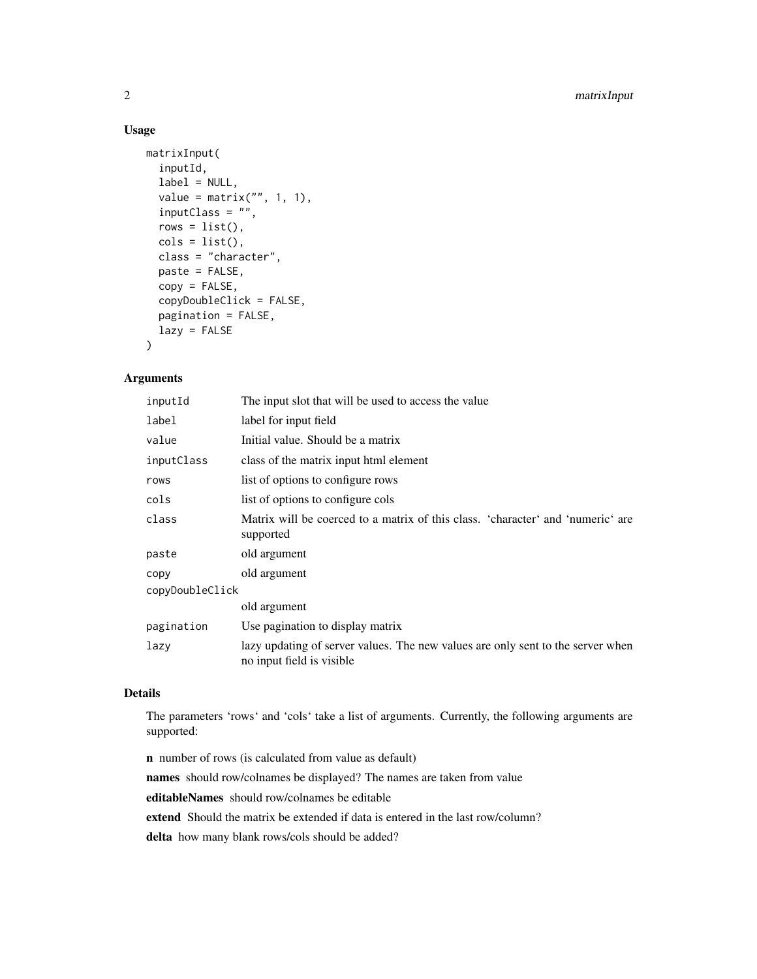#### Usage

```
matrixInput(
  inputId,
  label = NULL,value = matrix("", 1, 1),inputClass = "",
  rows = list(),
  \text{cols} = \text{list}(),class = "character",
 paste = FALSE,
  copy = FALSE,copyDoubleClick = FALSE,
 pagination = FALSE,
  lazy = FALSE
)
```
#### Arguments

| inputId         | The input slot that will be used to access the value                                                          |
|-----------------|---------------------------------------------------------------------------------------------------------------|
| label           | label for input field                                                                                         |
| value           | Initial value. Should be a matrix                                                                             |
| inputClass      | class of the matrix input html element                                                                        |
| rows            | list of options to configure rows                                                                             |
| cols            | list of options to configure cols                                                                             |
| class           | Matrix will be coerced to a matrix of this class. 'character' and 'numeric' are<br>supported                  |
| paste           | old argument                                                                                                  |
| copy            | old argument                                                                                                  |
| copyDoubleClick |                                                                                                               |
|                 | old argument                                                                                                  |
| pagination      | Use pagination to display matrix                                                                              |
| lazy            | lazy updating of server values. The new values are only sent to the server when<br>no input field is visible. |

#### Details

The parameters 'rows' and 'cols' take a list of arguments. Currently, the following arguments are supported:

n number of rows (is calculated from value as default) names should row/colnames be displayed? The names are taken from value editableNames should row/colnames be editable extend Should the matrix be extended if data is entered in the last row/column? delta how many blank rows/cols should be added?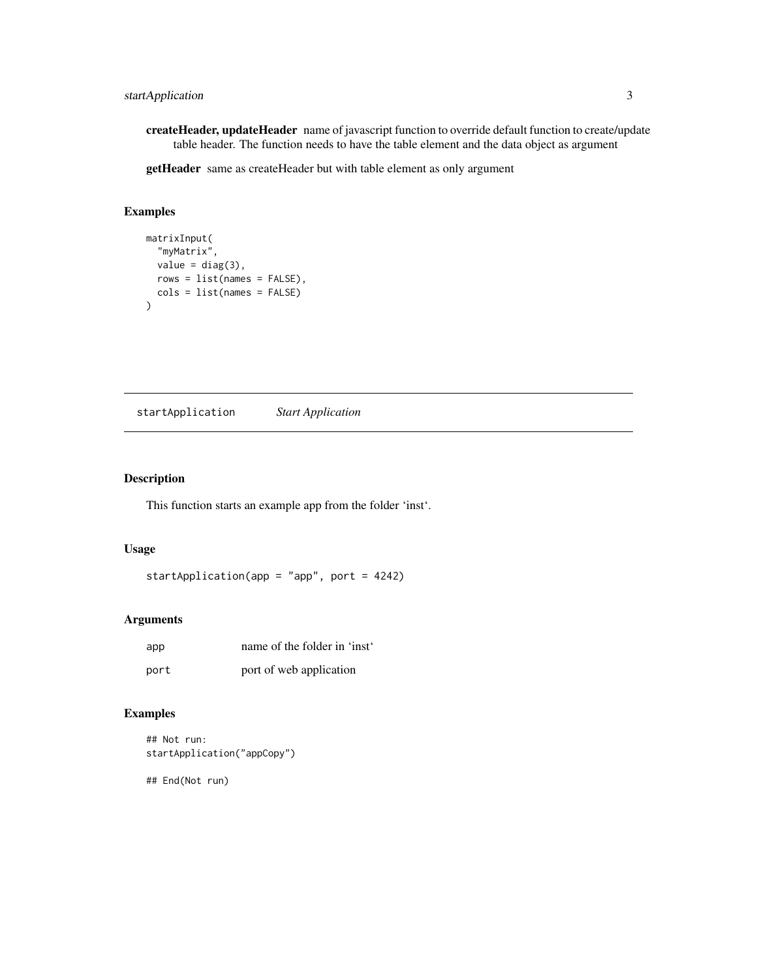<span id="page-2-0"></span>createHeader, updateHeader name of javascript function to override default function to create/update table header. The function needs to have the table element and the data object as argument

getHeader same as createHeader but with table element as only argument

#### Examples

```
matrixInput(
  "myMatrix",
  value = diag(3),
 rows = list(names = FALSE),
  cols = list(names = FALSE)
)
```
startApplication *Start Application*

#### Description

This function starts an example app from the folder 'inst'.

#### Usage

startApplication(app = "app", port = 4242)

#### Arguments

| app  | name of the folder in 'inst' |
|------|------------------------------|
| port | port of web application      |

#### Examples

```
## Not run:
startApplication("appCopy")
```
## End(Not run)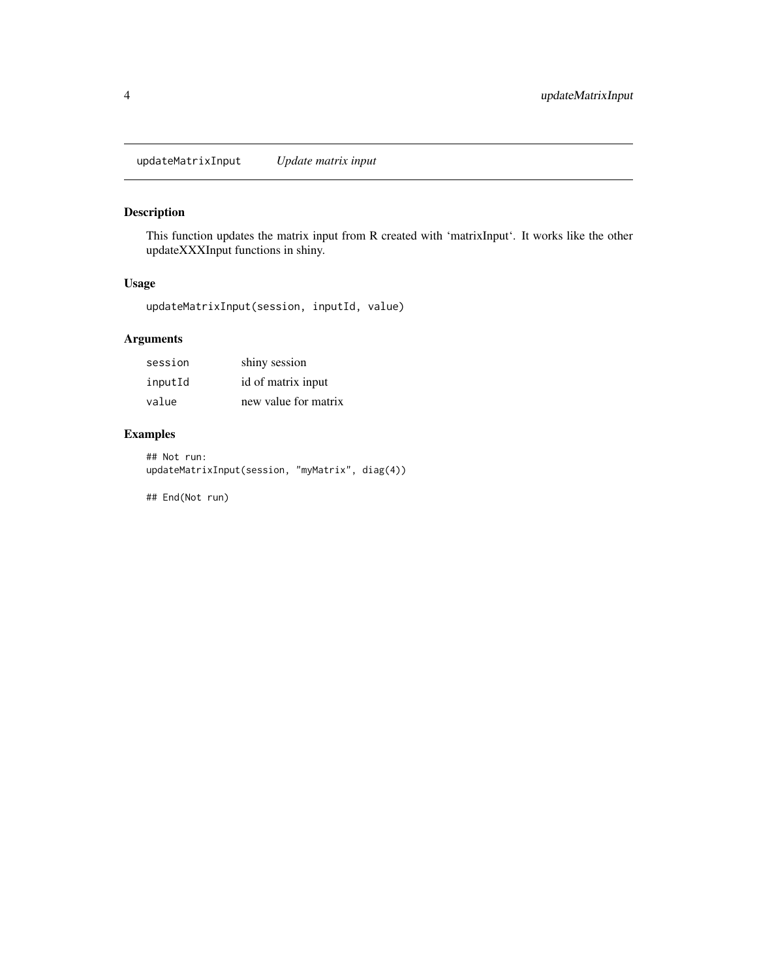<span id="page-3-0"></span>updateMatrixInput *Update matrix input*

#### Description

This function updates the matrix input from R created with 'matrixInput'. It works like the other updateXXXInput functions in shiny.

#### Usage

updateMatrixInput(session, inputId, value)

#### Arguments

| session | shiny session        |
|---------|----------------------|
| inputId | id of matrix input   |
| value   | new value for matrix |

#### Examples

## Not run: updateMatrixInput(session, "myMatrix", diag(4))

## End(Not run)